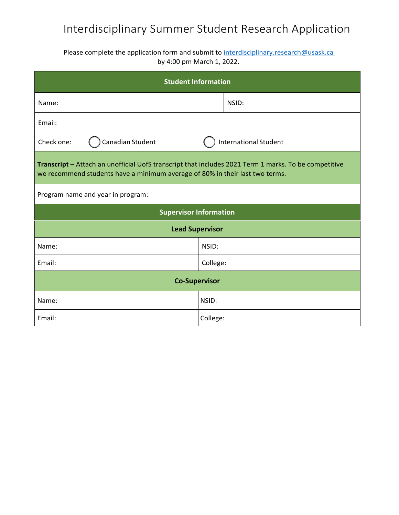## Interdisciplinary Summer Student Research Application

Please complete the application form and submit to interdisciplinary.research@usask.ca by 4:00 pm March 1, 2022.

| <b>Student Information</b>                                                                                                                                                           |                              |       |  |
|--------------------------------------------------------------------------------------------------------------------------------------------------------------------------------------|------------------------------|-------|--|
| Name:                                                                                                                                                                                |                              | NSID: |  |
| Email:                                                                                                                                                                               |                              |       |  |
| Canadian Student<br>Check one:                                                                                                                                                       | <b>International Student</b> |       |  |
| Transcript - Attach an unofficial UofS transcript that includes 2021 Term 1 marks. To be competitive<br>we recommend students have a minimum average of 80% in their last two terms. |                              |       |  |
| Program name and year in program:                                                                                                                                                    |                              |       |  |
| <b>Supervisor Information</b>                                                                                                                                                        |                              |       |  |
| <b>Lead Supervisor</b>                                                                                                                                                               |                              |       |  |
| Name:                                                                                                                                                                                | NSID:                        |       |  |
| Email:                                                                                                                                                                               | College:                     |       |  |
| <b>Co-Supervisor</b>                                                                                                                                                                 |                              |       |  |
| Name:                                                                                                                                                                                | NSID:                        |       |  |
| Email:                                                                                                                                                                               | College:                     |       |  |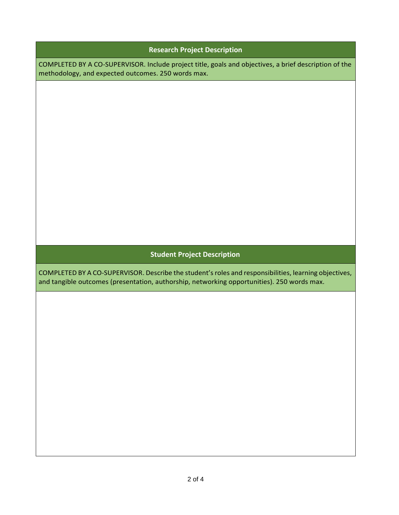| <b>Research Project Description</b>                                                                                                                                                                 |  |  |
|-----------------------------------------------------------------------------------------------------------------------------------------------------------------------------------------------------|--|--|
| COMPLETED BY A CO-SUPERVISOR. Include project title, goals and objectives, a brief description of the<br>methodology, and expected outcomes. 250 words max.                                         |  |  |
|                                                                                                                                                                                                     |  |  |
|                                                                                                                                                                                                     |  |  |
|                                                                                                                                                                                                     |  |  |
|                                                                                                                                                                                                     |  |  |
|                                                                                                                                                                                                     |  |  |
|                                                                                                                                                                                                     |  |  |
|                                                                                                                                                                                                     |  |  |
|                                                                                                                                                                                                     |  |  |
|                                                                                                                                                                                                     |  |  |
|                                                                                                                                                                                                     |  |  |
| <b>Student Project Description</b>                                                                                                                                                                  |  |  |
| COMPLETED BY A CO-SUPERVISOR. Describe the student's roles and responsibilities, learning objectives,<br>and tangible outcomes (presentation, authorship, networking opportunities). 250 words max. |  |  |
|                                                                                                                                                                                                     |  |  |
|                                                                                                                                                                                                     |  |  |
|                                                                                                                                                                                                     |  |  |
|                                                                                                                                                                                                     |  |  |
|                                                                                                                                                                                                     |  |  |
|                                                                                                                                                                                                     |  |  |
|                                                                                                                                                                                                     |  |  |
|                                                                                                                                                                                                     |  |  |
|                                                                                                                                                                                                     |  |  |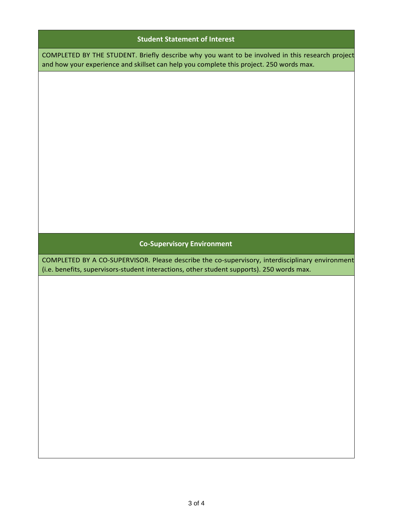| <b>Student Statement of Interest</b>                                                                                                                                                         |  |  |
|----------------------------------------------------------------------------------------------------------------------------------------------------------------------------------------------|--|--|
| COMPLETED BY THE STUDENT. Briefly describe why you want to be involved in this research project<br>and how your experience and skillset can help you complete this project. 250 words max.   |  |  |
|                                                                                                                                                                                              |  |  |
|                                                                                                                                                                                              |  |  |
|                                                                                                                                                                                              |  |  |
|                                                                                                                                                                                              |  |  |
|                                                                                                                                                                                              |  |  |
|                                                                                                                                                                                              |  |  |
|                                                                                                                                                                                              |  |  |
|                                                                                                                                                                                              |  |  |
|                                                                                                                                                                                              |  |  |
| <b>Co-Supervisory Environment</b>                                                                                                                                                            |  |  |
| COMPLETED BY A CO-SUPERVISOR. Please describe the co-supervisory, interdisciplinary environment<br>(i.e. benefits, supervisors-student interactions, other student supports). 250 words max. |  |  |
|                                                                                                                                                                                              |  |  |
|                                                                                                                                                                                              |  |  |
|                                                                                                                                                                                              |  |  |
|                                                                                                                                                                                              |  |  |
|                                                                                                                                                                                              |  |  |
|                                                                                                                                                                                              |  |  |
|                                                                                                                                                                                              |  |  |
|                                                                                                                                                                                              |  |  |
|                                                                                                                                                                                              |  |  |
|                                                                                                                                                                                              |  |  |